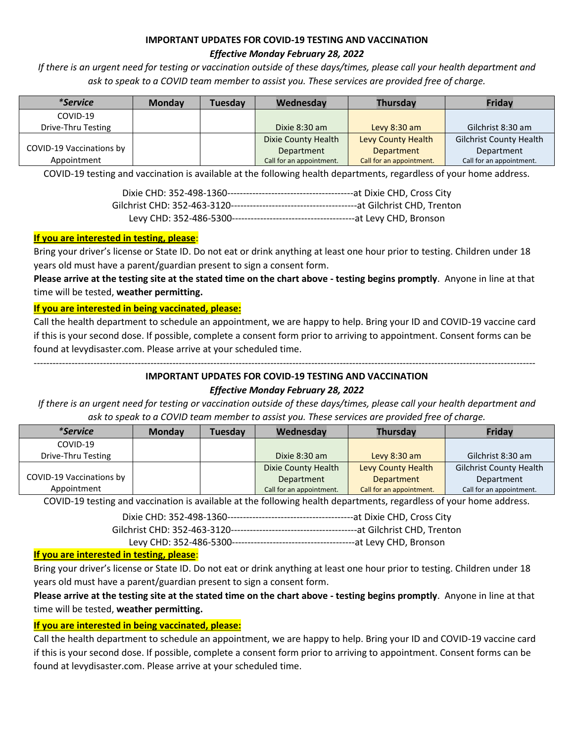## **IMPORTANT UPDATES FOR COVID-19 TESTING AND VACCINATION** *Effective Monday February 28, 2022*

*If there is an urgent need for testing or vaccination outside of these days/times, please call your health department and ask to speak to a COVID team member to assist you. These services are provided free of charge.*

| <i>*Service</i>          | <b>Monday</b> | <b>Tuesdav</b> | Wednesday                | <b>Thursday</b>          | <b>Friday</b>                  |
|--------------------------|---------------|----------------|--------------------------|--------------------------|--------------------------------|
| COVID-19                 |               |                |                          |                          |                                |
| Drive-Thru Testing       |               |                | Dixie $8:30$ am          | Levy $8:30$ am           | Gilchrist 8:30 am              |
|                          |               |                | Dixie County Health      | Levy County Health       | <b>Gilchrist County Health</b> |
| COVID-19 Vaccinations by |               |                | Department               | <b>Department</b>        | Department                     |
| Appointment              |               |                | Call for an appointment. | Call for an appointment. | Call for an appointment.       |

COVID-19 testing and vaccination is available at the following health departments, regardless of your home address.

### **If you are interested in testing, please**:

Bring your driver's license or State ID. Do not eat or drink anything at least one hour prior to testing. Children under 18 years old must have a parent/guardian present to sign a consent form.

**Please arrive at the testing site at the stated time on the chart above - testing begins promptly**. Anyone in line at that time will be tested, **weather permitting.**

### **If you are interested in being vaccinated, please:**

Call the health department to schedule an appointment, we are happy to help. Bring your ID and COVID-19 vaccine card if this is your second dose. If possible, complete a consent form prior to arriving to appointment. Consent forms can be found at levydisaster.com. Please arrive at your scheduled time.

## **IMPORTANT UPDATES FOR COVID-19 TESTING AND VACCINATION** *Effective Monday February 28, 2022*

---------------------------------------------------------------------------------------------------------------------------------------------------------------

*If there is an urgent need for testing or vaccination outside of these days/times, please call your health department and ask to speak to a COVID team member to assist you. These services are provided free of charge.*

| <i>*Service</i>          | Monday | Tuesday | Wednesday                | Thursday                 | Friday                         |
|--------------------------|--------|---------|--------------------------|--------------------------|--------------------------------|
| COVID-19                 |        |         |                          |                          |                                |
| Drive-Thru Testing       |        |         | Dixie 8:30 am            | Levy $8:30$ am           | Gilchrist 8:30 am              |
|                          |        |         | Dixie County Health      | Levy County Health       | <b>Gilchrist County Health</b> |
| COVID-19 Vaccinations by |        |         | Department               | <b>Department</b>        | Department                     |
| Appointment              |        |         | Call for an appointment. | Call for an appointment. | Call for an appointment.       |

COVID-19 testing and vaccination is available at the following health departments, regardless of your home address.

Dixie CHD: 352-498-1360----------------------------------------at Dixie CHD, Cross City

Gilchrist CHD: 352-463-3120----------------------------------------at Gilchrist CHD, Trenton

Levy CHD: 352-486-5300---------------------------------------at Levy CHD, Bronson

### **If you are interested in testing, please**:

Bring your driver's license or State ID. Do not eat or drink anything at least one hour prior to testing. Children under 18 years old must have a parent/guardian present to sign a consent form.

## **Please arrive at the testing site at the stated time on the chart above - testing begins promptly**. Anyone in line at that time will be tested, **weather permitting.**

### **If you are interested in being vaccinated, please:**

Call the health department to schedule an appointment, we are happy to help. Bring your ID and COVID-19 vaccine card if this is your second dose. If possible, complete a consent form prior to arriving to appointment. Consent forms can be found at levydisaster.com. Please arrive at your scheduled time.